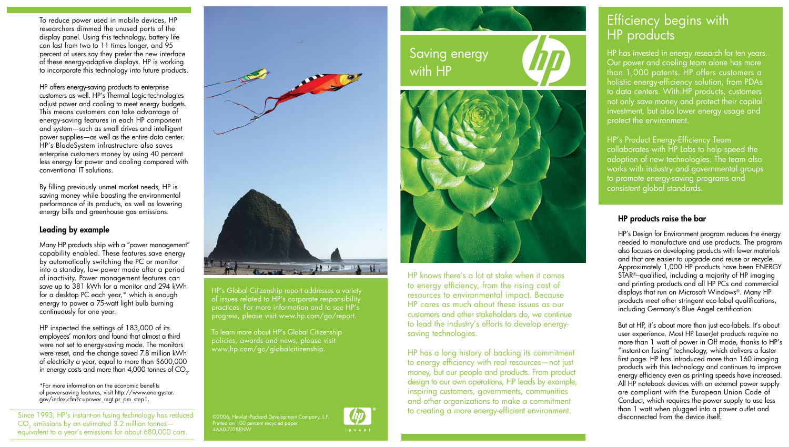To reduce power used in mobile devices, HP researchers dimmed the unused parts of the display panel. Using this technology, battery life can last from two to 11 times longer, and 95 percent of users say they prefer the new interface of these energy-adaptive displays. HP is working to incorporate this technology into future products.

HP offers energy-saving products to enterprise customers as well. HP's Thermal Logic technologies adjust power and cooling to meet energy budgets. This means customers can take advantage of energy-saving features in each HP component and system—such as small drives and intelligent power supplies—as well as the entire data center. HP's BladeSystem infrastructure also saves enterprise customers money by using 40 percent less energy for power and cooling compared with conventional IT solutions.

By filling previously unmet market needs, HP is saving money while boosting the environmental performance of its products, as well as lowering energy bills and greenhouse gas emissions.

### Leading by example

Many HP products ship with a "power management" capability enabled. These features save energy by automatically switching the PC or monitor into a standby, low-power mode after a period of inactivity. Power management features can save up to 381 kWh for a monitor and 294 kWh for a desktop PC each year,\* which is enough energy to power a 75-watt light bulb burning continuously for one year.

HP inspected the settings of 183,000 of its employees' monitors and found that almost a third were not set to energy-saving mode. The monitors were reset, and the change saved 7.8 million kWh of electricity a year, equal to more than \$600,000 in energy costs and more than 4,000 tonnes of CO $_{\textrm{\tiny{2}}}$ .

\*For more information on the economic benefits of power-saving features, visit http://www.energystar. gov/index.cfm?c=power\_mgt.pr\_pm\_step1.

Since 1993, HP's instant-on fusing technology has reduced  $CO<sub>2</sub>$  emissions by an estimated  $3.2$  million tonnes equivalent to a year's emissions for about 680,000 cars.



HP's Global Citizenship report addresses a variety of issues related to HP's corporate responsibility practices. For more information and to see HP's progress, please visit www.hp.com/go/report.

To learn more about HP's Global Citizenship policies, awards and news, please visit www.hp.com/go/globalcitizenship.

©2006, Hewlett-Packard Development Company, L.P. Printed on 100 percent recycled paper. 4AA0-7328ENW

Saving energy with HP



HP knows there's a lot at stake when it comes to energy efficiency, from the rising cost of resources to environmental impact. Because HP cares as much about these issues as our customers and other stakeholders do, we continue to lead the industry's efforts to develop energysaving technologies.

HP has a long history of backing its commitment to energy efficiency with real resources—not just money, but our people and products. From product design to our own operations, HP leads by example, inspiring customers, governments, communities and other organizations to make a commitment to creating a more energy-efficient environment.

# Efficiency begins with HP products

HP has invested in energy research for ten years. Our power and cooling team alone has more than 1,000 patents. HP offers customers a holistic energy-efficiency solution, from PDAs to data centers. With HP products, customers not only save money and protect their capital investment, but also lower energy usage and protect the environment.

HP's Product Energy-Efficiency Team collaborates with HP Labs to help speed the adoption of new technologies. The team also works with industry and governmental groups to promote energy-saving programs and consistent global standards.

### HP products raise the bar

HP's Design for Environment program reduces the energy needed to manufacture and use products. The program also focuses on developing products with fewer materials and that are easier to upgrade and reuse or recycle. Approximately 1,000 HP products have been ENERGY STAR®–qualified, including a majority of HP imaging and printing products and all HP PCs and commercial displays that run on Microsoft Windows®. Many HP products meet other stringent eco-label qualifications, including Germany's Blue Angel certification.

But at HP, it's about more than just eco-labels. It's about user experience. Most HP LaserJet products require no more than 1 watt of power in Off mode, thanks to HP's "instant-on fusing" technology, which delivers a faster first page. HP has introduced more than 160 imaging products with this technology and continues to improve energy efficiency even as printing speeds have increased. All HP notebook devices with an external power supply are compliant with the European Union Code of Conduct, which requires the power supply to use less than 1 watt when plugged into a power outlet and disconnected from the device itself.